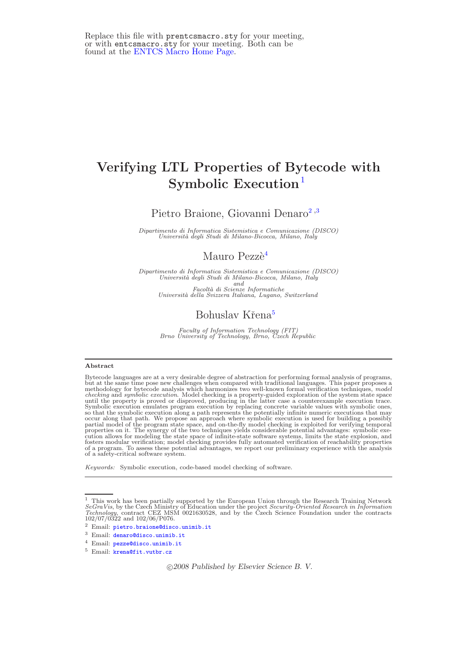# Verifying LTL Properties of Bytecode with Symbolic  $Execution<sup>1</sup>$  $Execution<sup>1</sup>$  $Execution<sup>1</sup>$

Pietro Braione, Giovanni Denaro<sup>[2](#page-3-0),[3](#page-3-0)</sup>

Dipartimento di Informatica Sistemistica e Comunicazione (DISCO)<br>Università degli Studi di Milano-Bicocca, Milano, Italy

# Mauro Pezzè<sup>[4](#page-3-0)</sup>

Dipartimento di Informatica Sistemistica e Comunicazione (DISCO)<br>Università degli Studi di Milano-Bicocca, Milano, Italy and Facoltà di Scienze Informatiche<br>Università della Svizzera Italiana, Lugano, Switzerland

# Bohuslav Křena<sup>[5](#page-3-0)</sup>

Faculty of Information Technology (FIT) Brno University of Technology, Brno, Czech Republic

#### Abstract

Bytecode languages are at a very desirable degree of abstraction for performing formal analysis of programs, but at the same time pose new challenges when compared with traditional languages. This paper proposes a<br>methodology for bytecode analysis which harmonizes two well-known formal verification techniques, *model*<br>checking an so that the symbolic execution along a path represents the potentially infinite numeric executions that may<br>occur along that path. We propose an approach where symbolic execution is used for building a possibly<br>partial mod fosters modular verification; model checking provides fully automated verification of reachability properties of a program. To assess these potential advantages, we report our preliminary experience with the analysis of a safety-critical software system.

Keywords: Symbolic execution, code-based model checking of software.

c 2008 Published by Elsevier Science B. V.

<sup>&</sup>lt;sup>1</sup> This work has been partially supported by the European Union through the Research Training Network SeGraVis, by the Czech Ministry of Education under the project Security-Oriented Research in Information Technology, contract CEZ MSM 0021630528, and by the Czech Science Foundation under the contracts 102/07/0322 and 102/

<sup>2</sup> Email: [pietro.braione@disco.unimib.it](mailto:pietro.braione@disco.unimib.it)

<sup>3</sup> Email: [denaro@disco.unimib.it](mailto:denaro@disco.unimib.it)

<sup>4</sup> Email: [pezze@disco.unimib.it](mailto:pezze@disco.unimib.it)

<sup>&</sup>lt;sup>5</sup> Email: [krena@fit.vutbr.cz](mailto:krena@fit.vutbr.cz)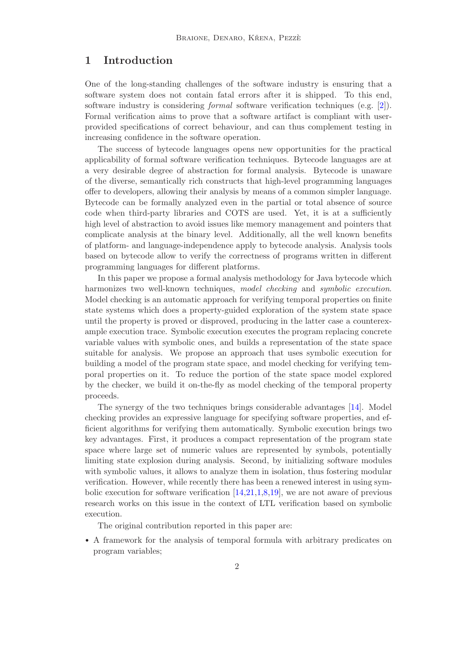# 1 Introduction

One of the long-standing challenges of the software industry is ensuring that a software system does not contain fatal errors after it is shipped. To this end, software industry is considering formal software verification techniques (e.g. [\[2\]](#page-9-0)). Formal verification aims to prove that a software artifact is compliant with userprovided specifications of correct behaviour, and can thus complement testing in increasing confidence in the software operation.

The success of bytecode languages opens new opportunities for the practical applicability of formal software verification techniques. Bytecode languages are at a very desirable degree of abstraction for formal analysis. Bytecode is unaware of the diverse, semantically rich constructs that high-level programming languages offer to developers, allowing their analysis by means of a common simpler language. Bytecode can be formally analyzed even in the partial or total absence of source code when third-party libraries and COTS are used. Yet, it is at a sufficiently high level of abstraction to avoid issues like memory management and pointers that complicate analysis at the binary level. Additionally, all the well known benefits of platform- and language-independence apply to bytecode analysis. Analysis tools based on bytecode allow to verify the correctness of programs written in different programming languages for different platforms.

In this paper we propose a formal analysis methodology for Java bytecode which harmonizes two well-known techniques, model checking and symbolic execution. Model checking is an automatic approach for verifying temporal properties on finite state systems which does a property-guided exploration of the system state space until the property is proved or disproved, producing in the latter case a counterexample execution trace. Symbolic execution executes the program replacing concrete variable values with symbolic ones, and builds a representation of the state space suitable for analysis. We propose an approach that uses symbolic execution for building a model of the program state space, and model checking for verifying temporal properties on it. To reduce the portion of the state space model explored by the checker, we build it on-the-fly as model checking of the temporal property proceeds.

The synergy of the two techniques brings considerable advantages [\[14\]](#page-10-0). Model checking provides an expressive language for specifying software properties, and efficient algorithms for verifying them automatically. Symbolic execution brings two key advantages. First, it produces a compact representation of the program state space where large set of numeric values are represented by symbols, potentially limiting state explosion during analysis. Second, by initializing software modules with symbolic values, it allows to analyze them in isolation, thus fostering modular verification. However, while recently there has been a renewed interest in using symbolic execution for software verification  $[14,21,1,8,19]$  $[14,21,1,8,19]$  $[14,21,1,8,19]$  $[14,21,1,8,19]$  $[14,21,1,8,19]$ , we are not aware of previous research works on this issue in the context of LTL verification based on symbolic execution.

The original contribution reported in this paper are:

• A framework for the analysis of temporal formula with arbitrary predicates on program variables;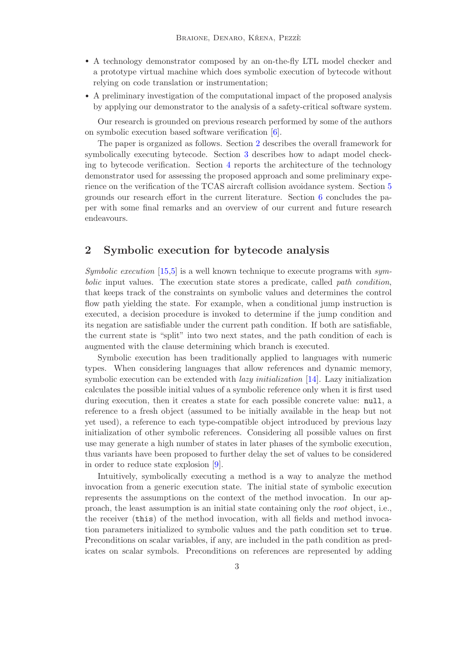- A technology demonstrator composed by an on-the-fly LTL model checker and a prototype virtual machine which does symbolic execution of bytecode without relying on code translation or instrumentation;
- A preliminary investigation of the computational impact of the proposed analysis by applying our demonstrator to the analysis of a safety-critical software system.

Our research is grounded on previous research performed by some of the authors on symbolic execution based software verification [\[6\]](#page-10-4).

The paper is organized as follows. Section [2](#page-2-0) describes the overall framework for symbolically executing bytecode. Section [3](#page-3-1) describes how to adapt model checking to bytecode verification. Section [4](#page-4-0) reports the architecture of the technology demonstrator used for assessing the proposed approach and some preliminary experience on the verification of the TCAS aircraft collision avoidance system. Section [5](#page-7-0) grounds our research effort in the current literature. Section [6](#page-8-0) concludes the paper with some final remarks and an overview of our current and future research endeavours.

# <span id="page-2-0"></span>2 Symbolic execution for bytecode analysis

Symbolic execution  $[15,5]$  $[15,5]$  is a well known technique to execute programs with symbolic input values. The execution state stores a predicate, called path condition, that keeps track of the constraints on symbolic values and determines the control flow path yielding the state. For example, when a conditional jump instruction is executed, a decision procedure is invoked to determine if the jump condition and its negation are satisfiable under the current path condition. If both are satisfiable, the current state is "split" into two next states, and the path condition of each is augmented with the clause determining which branch is executed.

Symbolic execution has been traditionally applied to languages with numeric types. When considering languages that allow references and dynamic memory, symbolic execution can be extended with *lazy initialization* [\[14\]](#page-10-0). Lazy initialization calculates the possible initial values of a symbolic reference only when it is first used during execution, then it creates a state for each possible concrete value: null, a reference to a fresh object (assumed to be initially available in the heap but not yet used), a reference to each type-compatible object introduced by previous lazy initialization of other symbolic references. Considering all possible values on first use may generate a high number of states in later phases of the symbolic execution, thus variants have been proposed to further delay the set of values to be considered in order to reduce state explosion [\[9\]](#page-10-7).

Intuitively, symbolically executing a method is a way to analyze the method invocation from a generic execution state. The initial state of symbolic execution represents the assumptions on the context of the method invocation. In our approach, the least assumption is an initial state containing only the root object, i.e., the receiver (this) of the method invocation, with all fields and method invocation parameters initialized to symbolic values and the path condition set to true. Preconditions on scalar variables, if any, are included in the path condition as predicates on scalar symbols. Preconditions on references are represented by adding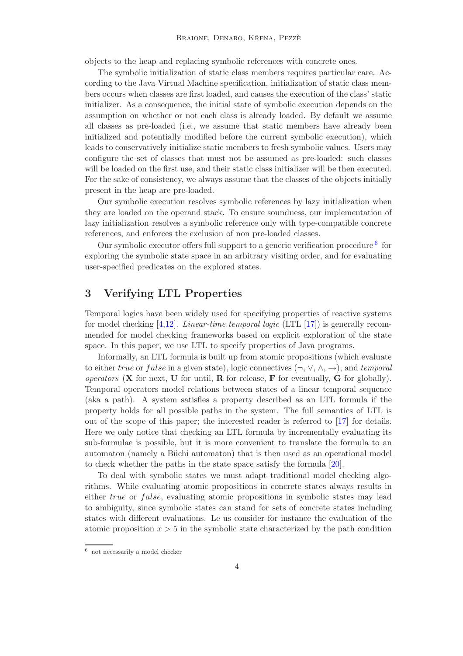objects to the heap and replacing symbolic references with concrete ones.

The symbolic initialization of static class members requires particular care. According to the Java Virtual Machine specification, initialization of static class members occurs when classes are first loaded, and causes the execution of the class' static initializer. As a consequence, the initial state of symbolic execution depends on the assumption on whether or not each class is already loaded. By default we assume all classes as pre-loaded (i.e., we assume that static members have already been initialized and potentially modified before the current symbolic execution), which leads to conservatively initialize static members to fresh symbolic values. Users may configure the set of classes that must not be assumed as pre-loaded: such classes will be loaded on the first use, and their static class initializer will be then executed. For the sake of consistency, we always assume that the classes of the objects initially present in the heap are pre-loaded.

Our symbolic execution resolves symbolic references by lazy initialization when they are loaded on the operand stack. To ensure soundness, our implementation of lazy initialization resolves a symbolic reference only with type-compatible concrete references, and enforces the exclusion of non pre-loaded classes.

<span id="page-3-0"></span>Our symbolic executor offers full support to a generic verification procedure  $6$  for exploring the symbolic state space in an arbitrary visiting order, and for evaluating user-specified predicates on the explored states.

# <span id="page-3-1"></span>3 Verifying LTL Properties

Temporal logics have been widely used for specifying properties of reactive systems for model checking [\[4](#page-10-8)[,12\]](#page-10-9). Linear-time temporal logic (LTL [\[17\]](#page-10-10)) is generally recommended for model checking frameworks based on explicit exploration of the state space. In this paper, we use LTL to specify properties of Java programs.

Informally, an LTL formula is built up from atomic propositions (which evaluate to either true or false in a given state), logic connectives  $(\neg, \vee, \wedge, \rightarrow)$ , and temporal operators  $(X$  for next,  $U$  for until,  $R$  for release,  $F$  for eventually,  $G$  for globally). Temporal operators model relations between states of a linear temporal sequence (aka a path). A system satisfies a property described as an LTL formula if the property holds for all possible paths in the system. The full semantics of LTL is out of the scope of this paper; the interested reader is referred to [\[17\]](#page-10-10) for details. Here we only notice that checking an LTL formula by incrementally evaluating its sub-formulae is possible, but it is more convenient to translate the formula to an automaton (namely a Büchi automaton) that is then used as an operational model to check whether the paths in the state space satisfy the formula [\[20\]](#page-10-11).

To deal with symbolic states we must adapt traditional model checking algorithms. While evaluating atomic propositions in concrete states always results in either true or false, evaluating atomic propositions in symbolic states may lead to ambiguity, since symbolic states can stand for sets of concrete states including states with different evaluations. Le us consider for instance the evaluation of the atomic proposition  $x > 5$  in the symbolic state characterized by the path condition

<span id="page-3-2"></span><sup>6</sup> not necessarily a model checker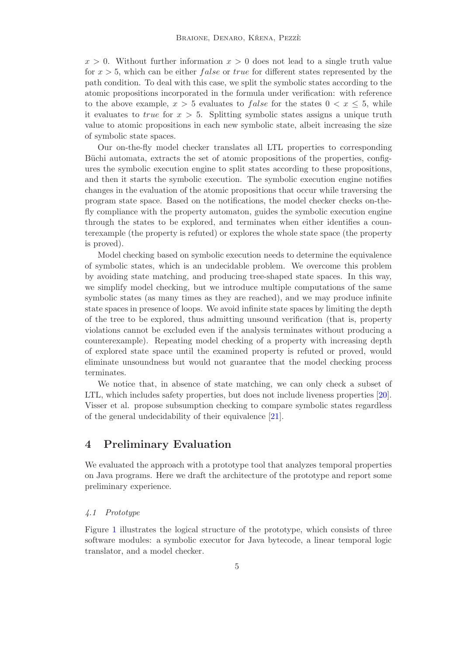$x > 0$ . Without further information  $x > 0$  does not lead to a single truth value for  $x > 5$ , which can be either *false* or *true* for different states represented by the path condition. To deal with this case, we split the symbolic states according to the atomic propositions incorporated in the formula under verification: with reference to the above example,  $x > 5$  evaluates to *false* for the states  $0 < x \leq 5$ , while it evaluates to *true* for  $x > 5$ . Splitting symbolic states assigns a unique truth value to atomic propositions in each new symbolic state, albeit increasing the size of symbolic state spaces.

Our on-the-fly model checker translates all LTL properties to corresponding Büchi automata, extracts the set of atomic propositions of the properties, configures the symbolic execution engine to split states according to these propositions, and then it starts the symbolic execution. The symbolic execution engine notifies changes in the evaluation of the atomic propositions that occur while traversing the program state space. Based on the notifications, the model checker checks on-thefly compliance with the property automaton, guides the symbolic execution engine through the states to be explored, and terminates when either identifies a counterexample (the property is refuted) or explores the whole state space (the property is proved).

Model checking based on symbolic execution needs to determine the equivalence of symbolic states, which is an undecidable problem. We overcome this problem by avoiding state matching, and producing tree-shaped state spaces. In this way, we simplify model checking, but we introduce multiple computations of the same symbolic states (as many times as they are reached), and we may produce infinite state spaces in presence of loops. We avoid infinite state spaces by limiting the depth of the tree to be explored, thus admitting unsound verification (that is, property violations cannot be excluded even if the analysis terminates without producing a counterexample). Repeating model checking of a property with increasing depth of explored state space until the examined property is refuted or proved, would eliminate unsoundness but would not guarantee that the model checking process terminates.

We notice that, in absence of state matching, we can only check a subset of LTL, which includes safety properties, but does not include liveness properties [\[20\]](#page-10-11). Visser et al. propose subsumption checking to compare symbolic states regardless of the general undecidability of their equivalence [\[21\]](#page-10-1).

### <span id="page-4-0"></span>4 Preliminary Evaluation

We evaluated the approach with a prototype tool that analyzes temporal properties on Java programs. Here we draft the architecture of the prototype and report some preliminary experience.

### 4.1 Prototype

Figure [1](#page-5-0) illustrates the logical structure of the prototype, which consists of three software modules: a symbolic executor for Java bytecode, a linear temporal logic translator, and a model checker.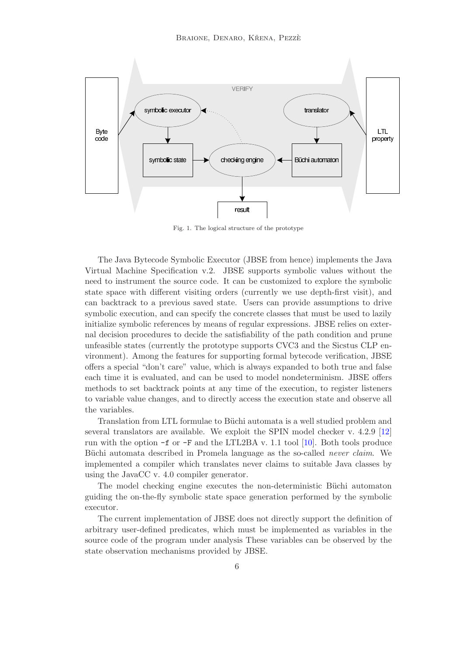

<span id="page-5-0"></span>Fig. 1. The logical structure of the prototype

The Java Bytecode Symbolic Executor (JBSE from hence) implements the Java Virtual Machine Specification v.2. JBSE supports symbolic values without the need to instrument the source code. It can be customized to explore the symbolic state space with different visiting orders (currently we use depth-first visit), and can backtrack to a previous saved state. Users can provide assumptions to drive symbolic execution, and can specify the concrete classes that must be used to lazily initialize symbolic references by means of regular expressions. JBSE relies on external decision procedures to decide the satisfiability of the path condition and prune unfeasible states (currently the prototype supports CVC3 and the Sicstus CLP environment). Among the features for supporting formal bytecode verification, JBSE offers a special "don't care" value, which is always expanded to both true and false each time it is evaluated, and can be used to model nondeterminism. JBSE offers methods to set backtrack points at any time of the execution, to register listeners to variable value changes, and to directly access the execution state and observe all the variables.

Translation from LTL formulae to Büchi automata is a well studied problem and several translators are available. We exploit the SPIN model checker v. 4.2.9 [\[12\]](#page-10-9) run with the option  $-f$  or  $-F$  and the LTL2BA v. 1.1 tool [\[10\]](#page-10-12). Both tools produce Büchi automata described in Promela language as the so-called *never claim*. We implemented a compiler which translates never claims to suitable Java classes by using the JavaCC v. 4.0 compiler generator.

The model checking engine executes the non-deterministic Büchi automaton guiding the on-the-fly symbolic state space generation performed by the symbolic executor.

The current implementation of JBSE does not directly support the definition of arbitrary user-defined predicates, which must be implemented as variables in the source code of the program under analysis These variables can be observed by the state observation mechanisms provided by JBSE.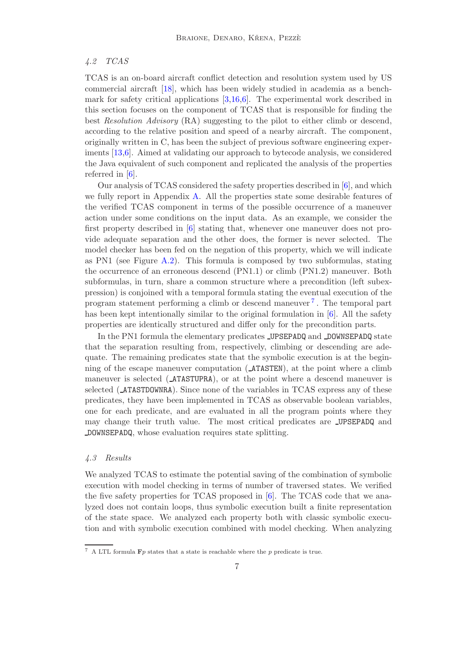### 4.2 TCAS

TCAS is an on-board aircraft conflict detection and resolution system used by US commercial aircraft [\[18\]](#page-10-13), which has been widely studied in academia as a benchmark for safety critical applications [\[3](#page-9-2)[,16](#page-10-14)[,6\]](#page-10-4). The experimental work described in this section focuses on the component of TCAS that is responsible for finding the best Resolution Advisory (RA) suggesting to the pilot to either climb or descend, according to the relative position and speed of a nearby aircraft. The component, originally written in C, has been the subject of previous software engineering experiments [\[13](#page-10-15)[,6\]](#page-10-4). Aimed at validating our approach to bytecode analysis, we considered the Java equivalent of such component and replicated the analysis of the properties referred in [\[6\]](#page-10-4).

Our analysis of TCAS considered the safety properties described in [\[6\]](#page-10-4), and which we fully report in Appendix [A.](#page-11-0) All the properties state some desirable features of the verified TCAS component in terms of the possible occurrence of a maneuver action under some conditions on the input data. As an example, we consider the first property described in [\[6\]](#page-10-4) stating that, whenever one maneuver does not provide adequate separation and the other does, the former is never selected. The model checker has been fed on the negation of this property, which we will indicate as PN1 (see Figure [A.2\)](#page-12-0). This formula is composed by two subformulas, stating the occurrence of an erroneous descend (PN1.1) or climb (PN1.2) maneuver. Both subformulas, in turn, share a common structure where a precondition (left subexpression) is conjoined with a temporal formula stating the eventual execution of the program statement performing a climb or descend maneuver [7](#page-6-0) . The temporal part has been kept intentionally similar to the original formulation in [\[6\]](#page-10-4). All the safety properties are identically structured and differ only for the precondition parts.

In the PN1 formula the elementary predicates **\_UPSEPADQ** and **\_DOWNSEPADQ** state that the separation resulting from, respectively, climbing or descending are adequate. The remaining predicates state that the symbolic execution is at the beginning of the escape maneuver computation ( ATASTEN), at the point where a climb maneuver is selected ( ATASTUPRA), or at the point where a descend maneuver is selected (**ATASTDOWNRA**). Since none of the variables in TCAS express any of these predicates, they have been implemented in TCAS as observable boolean variables, one for each predicate, and are evaluated in all the program points where they may change their truth value. The most critical predicates are UPSEPADQ and DOWNSEPADQ, whose evaluation requires state splitting.

#### 4.3 Results

We analyzed TCAS to estimate the potential saving of the combination of symbolic execution with model checking in terms of number of traversed states. We verified the five safety properties for TCAS proposed in [\[6\]](#page-10-4). The TCAS code that we analyzed does not contain loops, thus symbolic execution built a finite representation of the state space. We analyzed each property both with classic symbolic execution and with symbolic execution combined with model checking. When analyzing

<span id="page-6-0"></span><sup>&</sup>lt;sup>7</sup> A LTL formula **F***p* states that a state is reachable where the *p* predicate is true.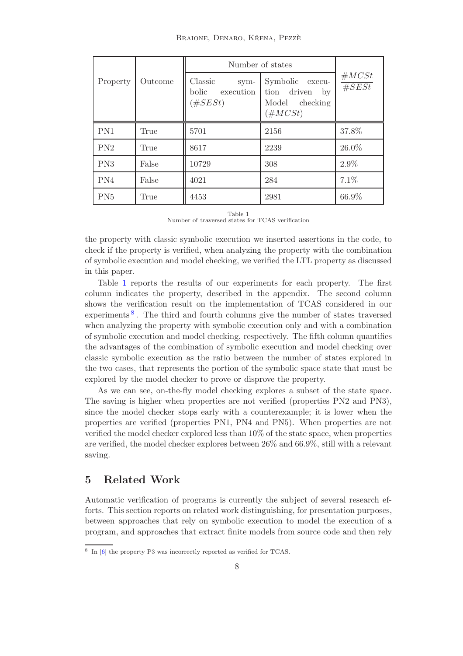|                 |         | Number of states                                    |                                                                      |                |
|-----------------|---------|-----------------------------------------------------|----------------------------------------------------------------------|----------------|
| Property        | Outcome | Classic<br>sym-<br>execution<br>bolic<br>$(\#SESt)$ | Symbolic execu-<br>tion driven<br>by<br>Model checking<br>$(\#MCSt)$ | #MCSt<br>#SESt |
| PN1             | True    | 5701                                                | 2156                                                                 | 37.8%          |
| PN2             | True    | 8617                                                | 2239                                                                 | 26.0%          |
| PN3             | False   | 10729                                               | 308                                                                  | 2.9%           |
| PN4             | False   | 4021                                                | 284                                                                  | 7.1%           |
| PN <sub>5</sub> | True    | 4453                                                | 2981                                                                 | 66.9%          |

Table 1 Number of traversed states for TCAS verification

<span id="page-7-1"></span>the property with classic symbolic execution we inserted assertions in the code, to check if the property is verified, when analyzing the property with the combination of symbolic execution and model checking, we verified the LTL property as discussed in this paper.

Table [1](#page-7-1) reports the results of our experiments for each property. The first column indicates the property, described in the appendix. The second column shows the verification result on the implementation of TCAS considered in our experiments<sup>[8](#page-7-2)</sup>. The third and fourth columns give the number of states traversed when analyzing the property with symbolic execution only and with a combination of symbolic execution and model checking, respectively. The fifth column quantifies the advantages of the combination of symbolic execution and model checking over classic symbolic execution as the ratio between the number of states explored in the two cases, that represents the portion of the symbolic space state that must be explored by the model checker to prove or disprove the property.

As we can see, on-the-fly model checking explores a subset of the state space. The saving is higher when properties are not verified (properties PN2 and PN3), since the model checker stops early with a counterexample; it is lower when the properties are verified (properties PN1, PN4 and PN5). When properties are not verified the model checker explored less than 10% of the state space, when properties are verified, the model checker explores between 26% and 66.9%, still with a relevant saving.

# <span id="page-7-0"></span>5 Related Work

Automatic verification of programs is currently the subject of several research efforts. This section reports on related work distinguishing, for presentation purposes, between approaches that rely on symbolic execution to model the execution of a program, and approaches that extract finite models from source code and then rely

<span id="page-7-2"></span><sup>&</sup>lt;sup>8</sup> In [\[6\]](#page-10-4) the property P3 was incorrectly reported as verified for TCAS.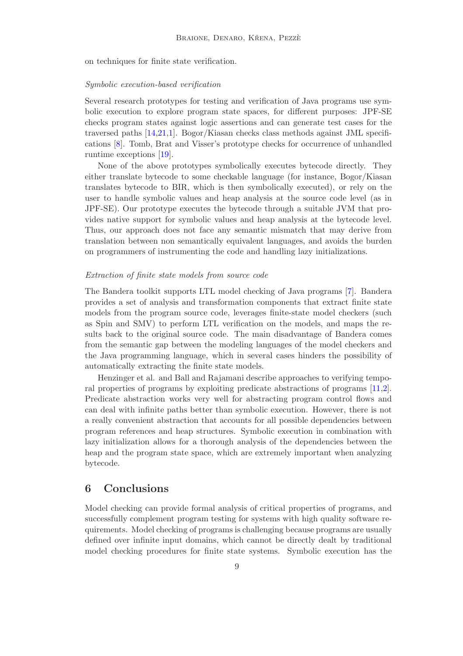on techniques for finite state verification.

#### Symbolic execution-based verification

Several research prototypes for testing and verification of Java programs use symbolic execution to explore program state spaces, for different purposes: JPF-SE checks program states against logic assertions and can generate test cases for the traversed paths [\[14,](#page-10-0)[21,](#page-10-1)[1\]](#page-9-1). Bogor/Kiasan checks class methods against JML specifications [\[8\]](#page-10-2). Tomb, Brat and Visser's prototype checks for occurrence of unhandled runtime exceptions [\[19\]](#page-10-3).

None of the above prototypes symbolically executes bytecode directly. They either translate bytecode to some checkable language (for instance, Bogor/Kiasan translates bytecode to BIR, which is then symbolically executed), or rely on the user to handle symbolic values and heap analysis at the source code level (as in JPF-SE). Our prototype executes the bytecode through a suitable JVM that provides native support for symbolic values and heap analysis at the bytecode level. Thus, our approach does not face any semantic mismatch that may derive from translation between non semantically equivalent languages, and avoids the burden on programmers of instrumenting the code and handling lazy initializations.

#### Extraction of finite state models from source code

The Bandera toolkit supports LTL model checking of Java programs [\[7\]](#page-10-16). Bandera provides a set of analysis and transformation components that extract finite state models from the program source code, leverages finite-state model checkers (such as Spin and SMV) to perform LTL verification on the models, and maps the results back to the original source code. The main disadvantage of Bandera comes from the semantic gap between the modeling languages of the model checkers and the Java programming language, which in several cases hinders the possibility of automatically extracting the finite state models.

Henzinger et al. and Ball and Rajamani describe approaches to verifying temporal properties of programs by exploiting predicate abstractions of programs [\[11](#page-10-17)[,2\]](#page-9-0). Predicate abstraction works very well for abstracting program control flows and can deal with infinite paths better than symbolic execution. However, there is not a really convenient abstraction that accounts for all possible dependencies between program references and heap structures. Symbolic execution in combination with lazy initialization allows for a thorough analysis of the dependencies between the heap and the program state space, which are extremely important when analyzing bytecode.

### <span id="page-8-0"></span>6 Conclusions

Model checking can provide formal analysis of critical properties of programs, and successfully complement program testing for systems with high quality software requirements. Model checking of programs is challenging because programs are usually defined over infinite input domains, which cannot be directly dealt by traditional model checking procedures for finite state systems. Symbolic execution has the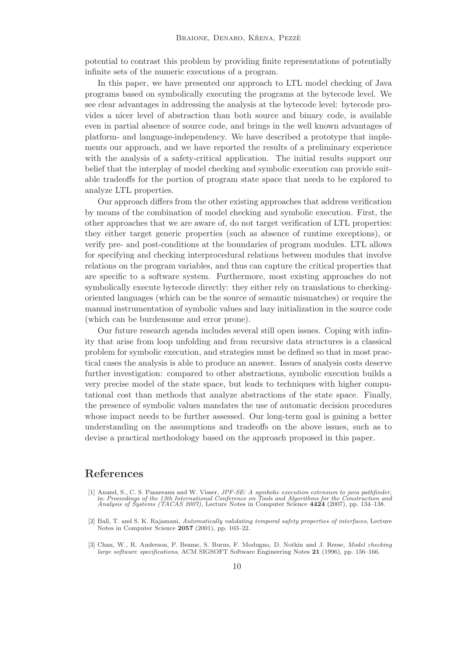potential to contrast this problem by providing finite representations of potentially infinite sets of the numeric executions of a program.

In this paper, we have presented our approach to LTL model checking of Java programs based on symbolically executing the programs at the bytecode level. We see clear advantages in addressing the analysis at the bytecode level: bytecode provides a nicer level of abstraction than both source and binary code, is available even in partial absence of source code, and brings in the well known advantages of platform- and language-independency. We have described a prototype that implements our approach, and we have reported the results of a preliminary experience with the analysis of a safety-critical application. The initial results support our belief that the interplay of model checking and symbolic execution can provide suitable tradeoffs for the portion of program state space that needs to be explored to analyze LTL properties.

Our approach differs from the other existing approaches that address verification by means of the combination of model checking and symbolic execution. First, the other approaches that we are aware of, do not target verification of LTL properties: they either target generic properties (such as absence of runtime exceptions), or verify pre- and post-conditions at the boundaries of program modules. LTL allows for specifying and checking interprocedural relations between modules that involve relations on the program variables, and thus can capture the critical properties that are specific to a software system. Furthermore, most existing approaches do not symbolically execute bytecode directly: they either rely on translations to checkingoriented languages (which can be the source of semantic mismatches) or require the manual instrumentation of symbolic values and lazy initialization in the source code (which can be burdensome and error prone).

Our future research agenda includes several still open issues. Coping with infinity that arise from loop unfolding and from recursive data structures is a classical problem for symbolic execution, and strategies must be defined so that in most practical cases the analysis is able to produce an answer. Issues of analysis costs deserve further investigation: compared to other abstractions, symbolic execution builds a very precise model of the state space, but leads to techniques with higher computational cost than methods that analyze abstractions of the state space. Finally, the presence of symbolic values mandates the use of automatic decision procedures whose impact needs to be further assessed. Our long-term goal is gaining a better understanding on the assumptions and tradeoffs on the above issues, such as to devise a practical methodology based on the approach proposed in this paper.

## <span id="page-9-1"></span>References

- [1] Anand, S., C. S. Pasareanu and W. Visser, *JPF-SE: A symbolic execution extension to java pathfinder*, in: *Proceedings of the 13th International Conference on Tools and Algorithms for the Construction and Analysis of*
- <span id="page-9-0"></span>[2] Ball, T. and S. K. Rajamani, Automatically validating temporal safety properties of interfaces, Lecture Notes in Computer Science 2057 (2001), pp. 103–22.
- <span id="page-9-2"></span>[3] Chan, W., R. Anderson, P. Beame, S. Burns, F. Modugno, D. Notkin and J. Reese, Model checking large software specifications, ACM SIGSOFT Software Engineering Notes 21 (1996), pp. 156–166.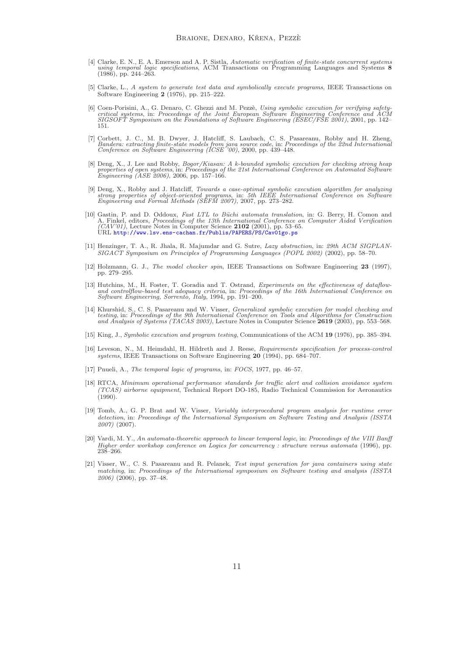- <span id="page-10-8"></span>[4] Clarke, E. N., E. A. Emerson and A. P. Sistla, Automatic verification of finite-state concurrent systems using temporal logic specifications, ACM Transactions on Programming Languages and Systems 8 (1986), pp. 244–263.
- <span id="page-10-6"></span>[5] Clarke, L., A system to generate test data and symbolically execute programs, IEEE Transactions on Software Engineering 2 (1976), pp. 215–222.
- <span id="page-10-4"></span>[6] Coen-Porisini, A., G. Denaro, C. Ghezzi and M. Pezzè, Using symbolic execution for verifying safety-<br>critical systems, in: Proceedings of the Joint European Software Engineering Conference and ACM<br>SIGSOFT Symposium on 151.
- <span id="page-10-16"></span>[7] Corbett, J. C., M. B. Dwyer, J. Hatcliff, S. Laubach, C. S. Pasareanu, Robby and H. Zheng, Bandera: extracting finite-state models from java source code, in: Proceedings of the 22nd International Conference on Software Engineering (ICSE '00), 2000, pp. 439–448.
- <span id="page-10-2"></span>[8] Deng, X., J. Lee and Robby, *Bogor/Kiasan: A k-bounded symbolic execution for checking strong heap properties of open systems*, in: *Proceedings of the 21st International Conference on Automated Software Engineering (A*
- <span id="page-10-7"></span>[9] Deng, X., Robby and J. Hatcliff, Towards a case-optimal symbolic execution algorithm for analyzing strong properties of object-oriented programs, in: 5th IEEE International Conference on Software Engineering and Formal
- <span id="page-10-12"></span>[10] Gastin, P. and D. Oddoux, *Fast LTL to Büchi automata translation*, in: G. Berry, H. Comon and A. Finkel, editors, *Proceedings of the 13th International Conference on Computer Aided Verification*  $(CAV'01)$ , Lecture N URL <http://www.lsv.ens-cachan.fr/Publis/PAPERS/PS/Cav01go.ps>
- <span id="page-10-17"></span>[11] Henzinger, T. A., R. Jhala, R. Majumdar and G. Sutre, Lazy abstraction, in: 29th ACM SIGPLAN-SIGACT Symposium on Principles of Programming Languages (POPL 2002) (2002), pp. 58–70.
- <span id="page-10-9"></span>[12] Holzmann, G. J., The model checker spin, IEEE Transactions on Software Engineering 23 (1997), pp. 279–295.
- <span id="page-10-15"></span>[13] Hutchins, M., H. Foster, T. Goradia and T. Ostrand, Experiments on the effectiveness of dataflow-and controlflow-based test adequacy criteria, in: Proceedings of the 16th International Conference on Software Engineering, Sorrento, Italy, 1994, pp. 191–200.
- <span id="page-10-0"></span>[14] Khurshid, S., C. S. Pasareanu and W. Visser, Generalized symbolic execution for model checking and testing, in: Proceedings of the 9th International Conference on Tools and Algorithms for Construction and Analysis of Systems (TACAS 2003), Lecture Notes in Computer Science 2619 (2003), pp. 553–568.
- <span id="page-10-5"></span>[15] King, J., Symbolic execution and program testing, Communications of the ACM 19 (1976), pp. 385–394.
- <span id="page-10-14"></span>[16] Leveson, N., M. Heimdahl, H. Hildreth and J. Reese, Requirements specification for process-control systems, IEEE Transactions on Software Engineering 20 (1994), pp. 684–707.
- <span id="page-10-10"></span>[17] Pnueli, A., The temporal logic of programs, in: FOCS, 1977, pp. 46–57.
- <span id="page-10-13"></span>[18] RTCA, Minimum operational performance standards for traffic alert and collision avoidance system  $(TCAS)$  airborne equipment, Technical Report DO-185, Radio Technical Commission for Aeronautics (1990).
- <span id="page-10-3"></span>[19] Tomb, A., G. P. Brat and W. Visser, Variably interprocedural program analysis for runtime error detection, in: Proceedings of the International Symposium on Software Testing and Analysis (ISSTA 2007) (2007).
- <span id="page-10-11"></span>[20] Vardi, M. Y., An automata-theoretic approach to linear temporal logic, in: Proceedings of the VIII Banff Higher order workshop conference on Logics for concurrency : structure versus automata (1996), pp. 238–266.
- <span id="page-10-1"></span>[21] Visser, W., C. S. Pasareanu and R. Pelanek, Test input generation for java containers using state matching, in: Proceedings of the International symposium on Software testing and analysis (ISSTA 2006) (2006), pp. 37–48.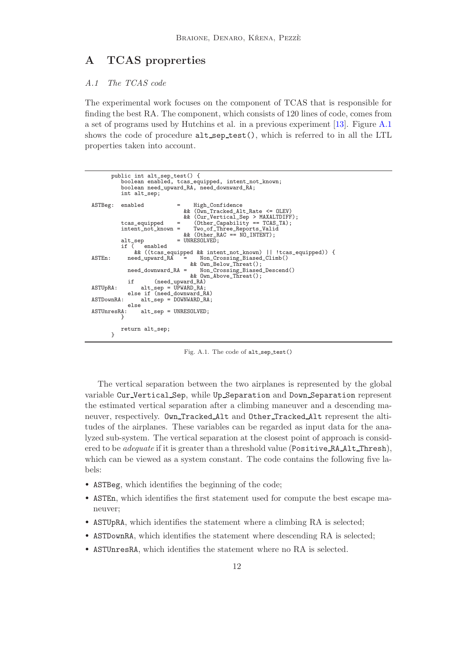# <span id="page-11-0"></span>A TCAS proprerties

### A.1 The TCAS code

The experimental work focuses on the component of TCAS that is responsible for finding the best RA. The component, which consists of 120 lines of code, comes from a set of programs used by Hutchins et al. in a previous experiment [\[13\]](#page-10-15). Figure [A.1](#page-11-1) shows the code of procedure  $alt\_sep\_test()$ , which is referred to in all the LTL properties taken into account.

```
public int alt_sep_test() {
boolean enabled, tcas_equipped, intent_not_known;
            boolean need_upward_RA, need_downward_RA;
            int alt_sep;
ASTBeg: enabled = High_Confidence
            && (Own_Tracked_Alt_Rate <= OLEV)<br>&& (Cur_Vertical_Sep > MAXALTDIFF);<br>tcas_equipped = (Other_Capability == TCAS_TA);
            intent_not_known = Two_of_Three_Reports_Valid
&& (Other_RAC == NO_INTENT);
alt_sep = UNRESOLVED;<br>if ( enabled<br>&& ((tcas_equipped && intent_not_known) || !tcas_equipped)) {<br>ASTEn: need_upward_RA = Non_Crossing_Biased_Climb()
                                        && Own_Below_Threat();
              need_downward_RA = Non_Crossing_Biased_Descend()
                                        && Own_Above_Threat();
if (need_upward_RA)
ASTUpRA: alt_sep = UPWARD_RA;
               else if (need_downward_RA)
ASTDownRA: alt_sep = DOWNWARD_RA;
               else
ASTUnresRA: alt_sep = UNRESOLVED;
            }
            return alt_sep;
        }
```
<span id="page-11-1"></span>Fig. A.1. The code of alt sep test()

The vertical separation between the two airplanes is represented by the global variable Cur Vertical Sep, while Up Separation and Down Separation represent the estimated vertical separation after a climbing maneuver and a descending maneuver, respectively. Own Tracked Alt and Other Tracked Alt represent the altitudes of the airplanes. These variables can be regarded as input data for the analyzed sub-system. The vertical separation at the closest point of approach is considered to be *adequate* if it is greater than a threshold value (Positive RA Alt Thresh), which can be viewed as a system constant. The code contains the following five labels:

- ASTBeg, which identifies the beginning of the code;
- ASTEn, which identifies the first statement used for compute the best escape maneuver;
- ASTUpRA, which identifies the statement where a climbing RA is selected;
- ASTDownRA, which identifies the statement where descending RA is selected;
- ASTUnresRA, which identifies the statement where no RA is selected.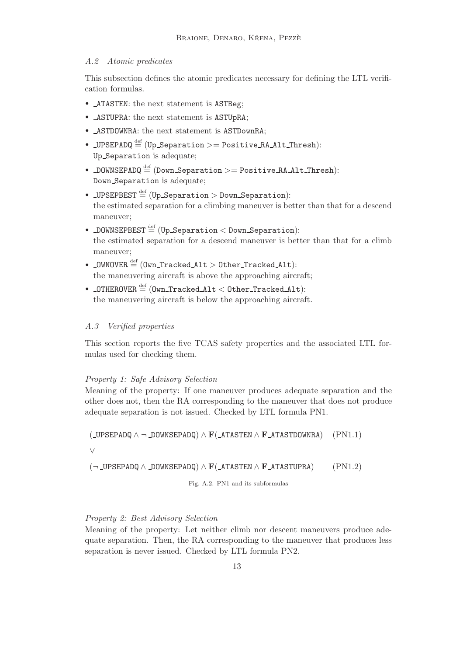### A.2 Atomic predicates

This subsection defines the atomic predicates necessary for defining the LTL verification formulas.

- ATASTEN: the next statement is ASTBeg;
- ASTUPRA: the next statement is ASTUpRA;
- ASTDOWNRA: the next statement is ASTDownRA;
- LUPSEPADQ  $\stackrel{\text{def}}{=}$  (Up\_Separation >= Positive RA\_Alt\_Thresh): Up Separation is adequate;
- DOWNSEPADQ  $\stackrel{\text{def}}{=}$  (Down Separation  $>=$  Positive RA Alt Thresh): Down Separation is adequate;
- LUPSEPBEST  $\stackrel{\text{def}}{=}$  (Up Separation > Down Separation): the estimated separation for a climbing maneuver is better than that for a descend maneuver;
- DOWNSEPBEST  $\stackrel{\text{def}}{=}$  (Up\_Separation  $<$  Down\_Separation): the estimated separation for a descend maneuver is better than that for a climb maneuver;
- $\texttt{\_OWNOVER}\overset{\text{def}}{=} (\texttt{Own\_Tracked\_Alt} > \texttt{Other\_Tracked\_Alt})$ : the maneuvering aircraft is above the approaching aircraft;
- $_\text{0}$ THEROVER  $\stackrel{\text{def}}{=}$  (Own\_Tracked\_Alt  $<$  Other\_Tracked\_Alt): the maneuvering aircraft is below the approaching aircraft.

### A.3 Verified properties

This section reports the five TCAS safety properties and the associated LTL formulas used for checking them.

### Property 1: Safe Advisory Selection

Meaning of the property: If one maneuver produces adequate separation and the other does not, then the RA corresponding to the maneuver that does not produce adequate separation is not issued. Checked by LTL formula PN1.

 $(LUPSEPADQ \wedge \neg DOWNSEPADQ) \wedge F(LATASTEN \wedge F_ATASTDOWNRA)$  (PN1.1)

∨

 $(\neg \text{LPSEPADQ} \land \text{DOWNSEPADQ}) \land \mathbf{F}(\text{ATASTEN} \land \mathbf{F} \text{ATASTUPRA})$  (PN1.2)

<span id="page-12-0"></span>Fig. A.2. PN1 and its subformulas

### Property 2: Best Advisory Selection

Meaning of the property: Let neither climb nor descent maneuvers produce adequate separation. Then, the RA corresponding to the maneuver that produces less separation is never issued. Checked by LTL formula PN2.